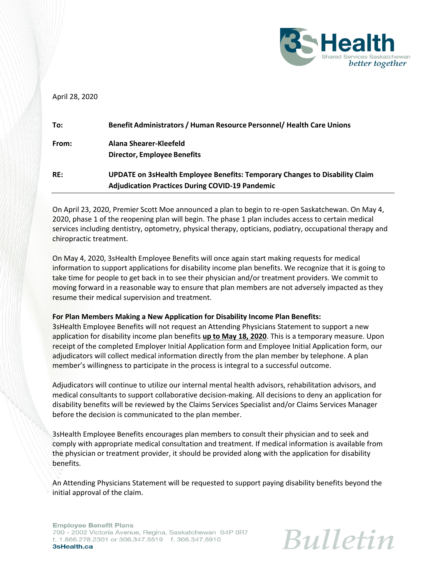

# April 28, 2020

| To:   | Benefit Administrators / Human Resource Personnel/ Health Care Unions                                                                 |
|-------|---------------------------------------------------------------------------------------------------------------------------------------|
| From: | Alana Shearer-Kleefeld<br><b>Director, Employee Benefits</b>                                                                          |
| RE:   | UPDATE on 3sHealth Employee Benefits: Temporary Changes to Disability Claim<br><b>Adjudication Practices During COVID-19 Pandemic</b> |

On April 23, 2020, Premier Scott Moe announced a plan to begin to re-open Saskatchewan. On May 4, 2020, phase 1 of the reopening plan will begin. The phase 1 plan includes access to certain medical services including dentistry, optometry, physical therapy, opticians, podiatry, occupational therapy and chiropractic treatment.

On May 4, 2020, 3sHealth Employee Benefits will once again start making requests for medical information to support applications for disability income plan benefits. We recognize that it is going to take time for people to get back in to see their physician and/or treatment providers. We commit to moving forward in a reasonable way to ensure that plan members are not adversely impacted as they resume their medical supervision and treatment.

## **For Plan Members Making a New Application for Disability Income Plan Benefits:**

3sHealth Employee Benefits will not request an Attending Physicians Statement to support a new application for disability income plan benefits **up to May 18, 2020**. This is a temporary measure. Upon receipt of the completed Employer Initial Application form and Employee Initial Application form, our adjudicators will collect medical information directly from the plan member by telephone. A plan member's willingness to participate in the process is integral to a successful outcome.

Adjudicators will continue to utilize our internal mental health advisors, rehabilitation advisors, and medical consultants to support collaborative decision-making. All decisions to deny an application for disability benefits will be reviewed by the Claims Services Specialist and/or Claims Services Manager before the decision is communicated to the plan member.

3sHealth Employee Benefits encourages plan members to consult their physician and to seek and comply with appropriate medical consultation and treatment. If medical information is available from the physician or treatment provider, it should be provided along with the application for disability benefits.

An Attending Physicians Statement will be requested to support paying disability benefits beyond the initial approval of the claim.

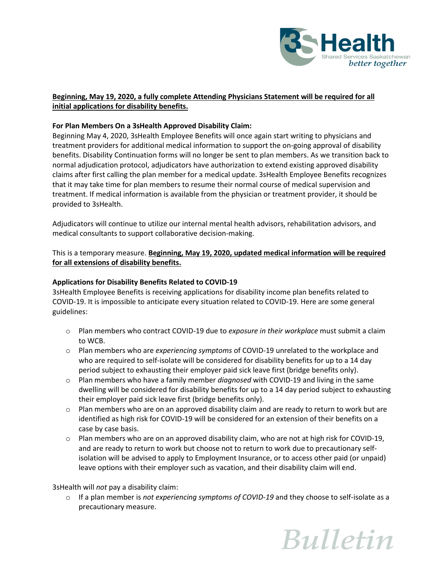

# **Beginning, May 19, 2020, a fully complete Attending Physicians Statement will be required for all initial applications for disability benefits.**

# **For Plan Members On a 3sHealth Approved Disability Claim:**

Beginning May 4, 2020, 3sHealth Employee Benefits will once again start writing to physicians and treatment providers for additional medical information to support the on-going approval of disability benefits. Disability Continuation forms will no longer be sent to plan members. As we transition back to normal adjudication protocol, adjudicators have authorization to extend existing approved disability claims after first calling the plan member for a medical update. 3sHealth Employee Benefits recognizes that it may take time for plan members to resume their normal course of medical supervision and treatment. If medical information is available from the physician or treatment provider, it should be provided to 3sHealth.

Adjudicators will continue to utilize our internal mental health advisors, rehabilitation advisors, and medical consultants to support collaborative decision-making.

This is a temporary measure. **Beginning, May 19, 2020, updated medical information will be required for all extensions of disability benefits.**

## **Applications for Disability Benefits Related to COVID-19**

3sHealth Employee Benefits is receiving applications for disability income plan benefits related to COVID-19. It is impossible to anticipate every situation related to COVID-19. Here are some general guidelines:

- o Plan members who contract COVID-19 due to *exposure in their workplace* must submit a claim to WCB.
- o Plan members who are *experiencing symptoms* of COVID-19 unrelated to the workplace and who are required to self-isolate will be considered for disability benefits for up to a 14 day period subject to exhausting their employer paid sick leave first (bridge benefits only).
- o Plan members who have a family member *diagnosed* with COVID-19 and living in the same dwelling will be considered for disability benefits for up to a 14 day period subject to exhausting their employer paid sick leave first (bridge benefits only).
- $\circ$  Plan members who are on an approved disability claim and are ready to return to work but are identified as high risk for COVID-19 will be considered for an extension of their benefits on a case by case basis.
- o Plan members who are on an approved disability claim, who are not at high risk for COVID-19, and are ready to return to work but choose not to return to work due to precautionary selfisolation will be advised to apply to Employment Insurance, or to access other paid (or unpaid) leave options with their employer such as vacation, and their disability claim will end.

3sHealth will *not* pay a disability claim:

o If a plan member is *not experiencing symptoms of COVID-19* and they choose to self-isolate as a precautionary measure.